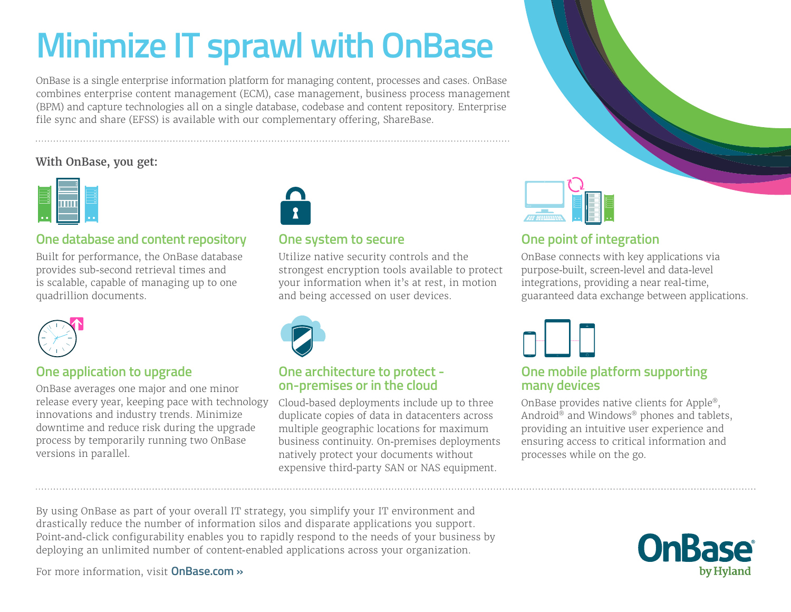# **Minimize IT sprawl with OnBase**

OnBase is a single enterprise information platform for managing content, processes and cases. OnBase combines enterprise content management (ECM), case management, business process management (BPM) and capture technologies all on a single database, codebase and content repository. Enterprise file sync and share (EFSS) is available with our complementary offering, ShareBase.

#### **With OnBase, you get:**



#### **One database and content repository**

Built for performance, the OnBase database provides sub-second retrieval times and is scalable, capable of managing up to one quadrillion documents.



#### **One application to upgrade**

OnBase averages one major and one minor release every year, keeping pace with technology innovations and industry trends. Minimize downtime and reduce risk during the upgrade process by temporarily running two OnBase versions in parallel.



#### **One system to secure**

Utilize native security controls and the strongest encryption tools available to protect your information when it's at rest, in motion and being accessed on user devices.



#### **One architecture to protect on-premises or in the cloud**

Cloud-based deployments include up to three duplicate copies of data in datacenters across multiple geographic locations for maximum business continuity. On-premises deployments natively protect your documents without expensive third-party SAN or NAS equipment.



### **One point of integration**

OnBase connects with key applications via purpose-built, screen-level and data-level integrations, providing a near real-time, guaranteed data exchange between applications.



#### **One mobile platform supporting many devices**

OnBase provides native clients for Apple®, Android® and Windows® phones and tablets, providing an intuitive user experience and ensuring access to critical information and processes while on the go.

By using OnBase as part of your overall IT strategy, you simplify your IT environment and drastically reduce the number of information silos and disparate applications you support. Point-and-click configurability enables you to rapidly respond to the needs of your business by deploying an unlimited number of content-enabled applications across your organization.

**OnBase** 

For more information, visit **[OnBase.com »](http://www.onbase.com)**